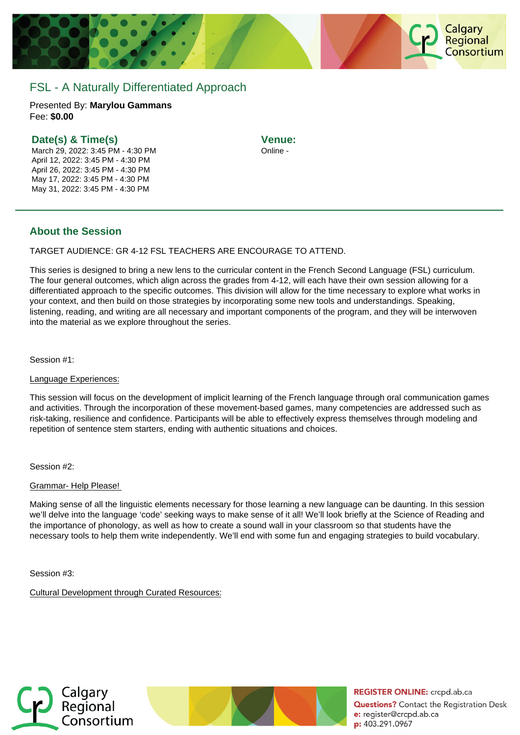

# FSL - A Naturally Differentiated Approach

Presented By: **Marylou Gammans** Fee: **\$0.00** 

### **Date(s) & Time(s)**

March 29, 2022: 3:45 PM - 4:30 PM April 12, 2022: 3:45 PM - 4:30 PM April 26, 2022: 3:45 PM - 4:30 PM May 17, 2022: 3:45 PM - 4:30 PM May 31, 2022: 3:45 PM - 4:30 PM

**Venue:** Online -

### **About the Session**

TARGET AUDIENCE: GR 4-12 FSL TEACHERS ARE ENCOURAGE TO ATTEND.

This series is designed to bring a new lens to the curricular content in the French Second Language (FSL) curriculum. The four general outcomes, which align across the grades from 4-12, will each have their own session allowing for a differentiated approach to the specific outcomes. This division will allow for the time necessary to explore what works in your context, and then build on those strategies by incorporating some new tools and understandings. Speaking, listening, reading, and writing are all necessary and important components of the program, and they will be interwoven into the material as we explore throughout the series.

Session #1:

#### Language Experiences:

This session will focus on the development of implicit learning of the French language through oral communication games and activities. Through the incorporation of these movement-based games, many competencies are addressed such as risk-taking, resilience and confidence. Participants will be able to effectively express themselves through modeling and repetition of sentence stem starters, ending with authentic situations and choices.

Session #2:

#### Grammar- Help Please!

Making sense of all the linguistic elements necessary for those learning a new language can be daunting. In this session we'll delve into the language 'code' seeking ways to make sense of it all! We'll look briefly at the Science of Reading and the importance of phonology, as well as how to create a sound wall in your classroom so that students have the necessary tools to help them write independently. We'll end with some fun and engaging strategies to build vocabulary.

Session #3:

Cultural Development through Curated Resources:





**REGISTER ONLINE:** crcpd.ab.ca **Questions?** Contact the Registration Desk e: register@crcpd.ab.ca p: 403.291.0967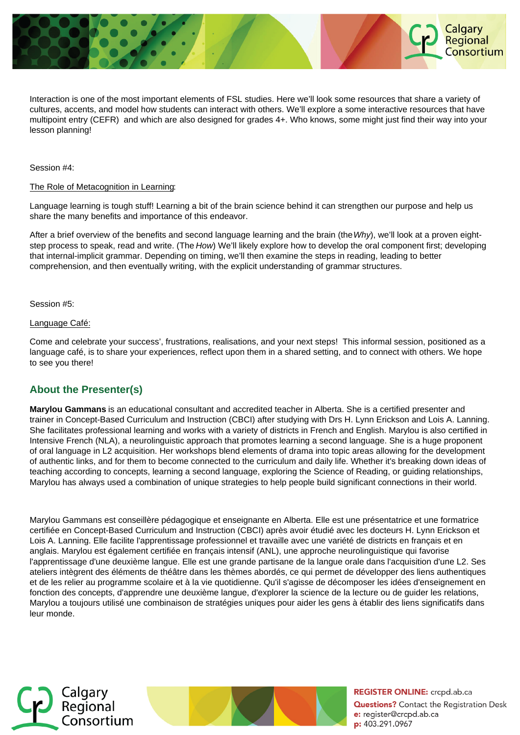

Interaction is one of the most important elements of FSL studies. Here we'll look some resources that share a variety of cultures, accents, and model how students can interact with others. We'll explore a some interactive resources that have multipoint entry (CEFR) and which are also designed for grades 4+. Who knows, some might just find their way into your lesson planning!

Session #4:

#### The Role of Metacognition in Learning:

Language learning is tough stuff! Learning a bit of the brain science behind it can strengthen our purpose and help us share the many benefits and importance of this endeavor.

After a brief overview of the benefits and second language learning and the brain (the Why), we'll look at a proven eightstep process to speak, read and write. (The How) We'll likely explore how to develop the oral component first; developing that internal-implicit grammar. Depending on timing, we'll then examine the steps in reading, leading to better comprehension, and then eventually writing, with the explicit understanding of grammar structures.

Session #5:

Language Café:

Come and celebrate your success', frustrations, realisations, and your next steps! This informal session, positioned as a language café, is to share your experiences, reflect upon them in a shared setting, and to connect with others. We hope to see you there!

## **About the Presenter(s)**

**Marylou Gammans** is an educational consultant and accredited teacher in Alberta. She is a certified presenter and trainer in Concept-Based Curriculum and Instruction (CBCI) after studying with Drs H. Lynn Erickson and Lois A. Lanning. She facilitates professional learning and works with a variety of districts in French and English. Marylou is also certified in Intensive French (NLA), a neurolinguistic approach that promotes learning a second language. She is a huge proponent of oral language in L2 acquisition. Her workshops blend elements of drama into topic areas allowing for the development of authentic links, and for them to become connected to the curriculum and daily life. Whether it's breaking down ideas of teaching according to concepts, learning a second language, exploring the Science of Reading, or guiding relationships, Marylou has always used a combination of unique strategies to help people build significant connections in their world.

Marylou Gammans est conseillère pédagogique et enseignante en Alberta. Elle est une présentatrice et une formatrice certifiée en Concept-Based Curriculum and Instruction (CBCI) après avoir étudié avec les docteurs H. Lynn Erickson et Lois A. Lanning. Elle facilite l'apprentissage professionnel et travaille avec une variété de districts en français et en anglais. Marylou est également certifiée en français intensif (ANL), une approche neurolinguistique qui favorise l'apprentissage d'une deuxième langue. Elle est une grande partisane de la langue orale dans l'acquisition d'une L2. Ses ateliers intègrent des éléments de théâtre dans les thèmes abordés, ce qui permet de développer des liens authentiques et de les relier au programme scolaire et à la vie quotidienne. Qu'il s'agisse de décomposer les idées d'enseignement en fonction des concepts, d'apprendre une deuxième langue, d'explorer la science de la lecture ou de guider les relations, Marylou a toujours utilisé une combinaison de stratégies uniques pour aider les gens à établir des liens significatifs dans leur monde.





**REGISTER ONLINE:** crcpd.ab.ca **Questions?** Contact the Registration Desk e: register@crcpd.ab.ca p: 403.291.0967